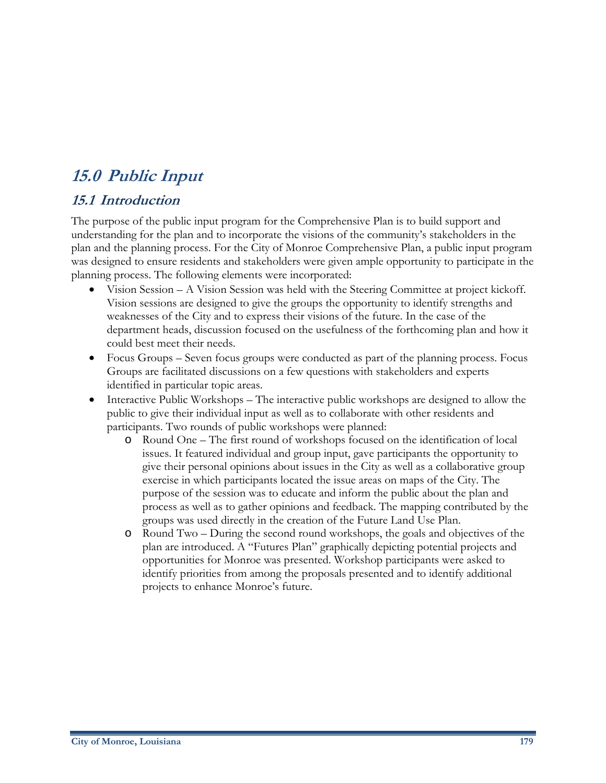# **15.0 Public Input**

## **15.1 Introduction**

The purpose of the public input program for the Comprehensive Plan is to build support and understanding for the plan and to incorporate the visions of the community's stakeholders in the plan and the planning process. For the City of Monroe Comprehensive Plan, a public input program was designed to ensure residents and stakeholders were given ample opportunity to participate in the planning process. The following elements were incorporated:

- Vision Session A Vision Session was held with the Steering Committee at project kickoff. Vision sessions are designed to give the groups the opportunity to identify strengths and weaknesses of the City and to express their visions of the future. In the case of the department heads, discussion focused on the usefulness of the forthcoming plan and how it could best meet their needs.
- Focus Groups Seven focus groups were conducted as part of the planning process. Focus Groups are facilitated discussions on a few questions with stakeholders and experts identified in particular topic areas.
- Interactive Public Workshops The interactive public workshops are designed to allow the public to give their individual input as well as to collaborate with other residents and participants. Two rounds of public workshops were planned:
	- o Round One The first round of workshops focused on the identification of local issues. It featured individual and group input, gave participants the opportunity to give their personal opinions about issues in the City as well as a collaborative group exercise in which participants located the issue areas on maps of the City. The purpose of the session was to educate and inform the public about the plan and process as well as to gather opinions and feedback. The mapping contributed by the groups was used directly in the creation of the Future Land Use Plan.
	- o Round Two During the second round workshops, the goals and objectives of the plan are introduced. A "Futures Plan" graphically depicting potential projects and opportunities for Monroe was presented. Workshop participants were asked to identify priorities from among the proposals presented and to identify additional projects to enhance Monroe's future.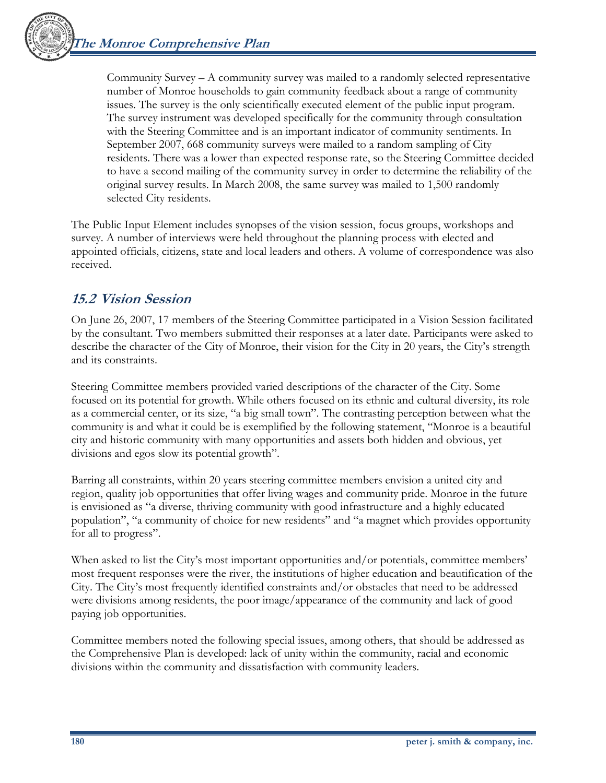Community Survey –  $A$  community survey was mailed to a randomly selected representative number of Monroe households to gain community feedback about a range of community issues. The survey is the only scientifically executed element of the public input program. The survey instrument was developed specifically for the community through consultation with the Steering Committee and is an important indicator of community sentiments. In September 2007, 668 community surveys were mailed to a random sampling of City residents. There was a lower than expected response rate, so the Steering Committee decided to have a second mailing of the community survey in order to determine the reliability of the original survey results. In March 2008, the same survey was mailed to 1,500 randomly selected City residents.

The Public Input Element includes synopses of the vision session, focus groups, workshops and survey. A number of interviews were held throughout the planning process with elected and appointed officials, citizens, state and local leaders and others. A volume of correspondence was also received.

## **15.2 Vision Session**

On June 26, 2007, 17 members of the Steering Committee participated in a Vision Session facilitated by the consultant. Two members submitted their responses at a later date. Participants were asked to describe the character of the City of Monroe, their vision for the City in 20 years, the City's strength and its constraints.

Steering Committee members provided varied descriptions of the character of the City. Some focused on its potential for growth. While others focused on its ethnic and cultural diversity, its role as a commercial center, or its size, "a big small town". The contrasting perception between what the community is and what it could be is exemplified by the following statement, "Monroe is a beautiful city and historic community with many opportunities and assets both hidden and obvious, yet divisions and egos slow its potential growth".

Barring all constraints, within 20 years steering committee members envision a united city and region, quality job opportunities that offer living wages and community pride. Monroe in the future is envisioned as "a diverse, thriving community with good infrastructure and a highly educated population", "a community of choice for new residents" and "a magnet which provides opportunity for all to progress".

When asked to list the City's most important opportunities and/or potentials, committee members' most frequent responses were the river, the institutions of higher education and beautification of the City. The City's most frequently identified constraints and/or obstacles that need to be addressed were divisions among residents, the poor image/appearance of the community and lack of good paying job opportunities.

Committee members noted the following special issues, among others, that should be addressed as the Comprehensive Plan is developed: lack of unity within the community, racial and economic divisions within the community and dissatisfaction with community leaders.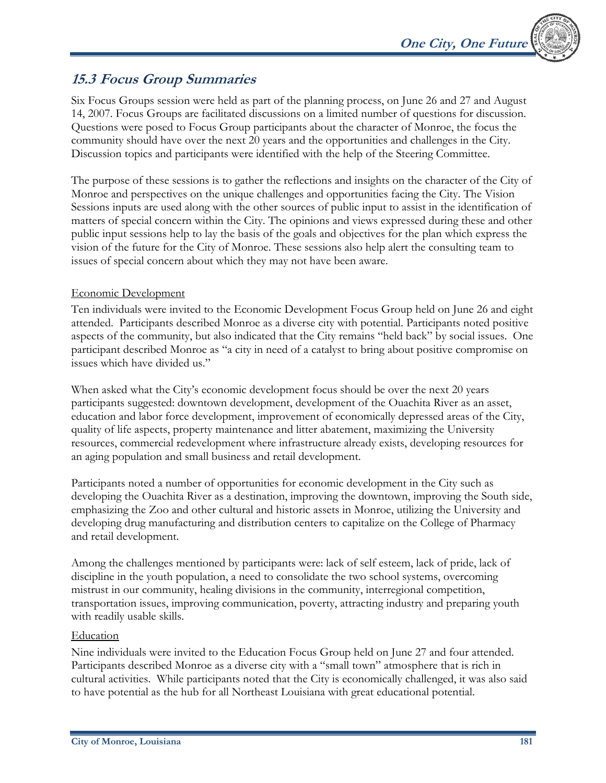## **15.3 Focus Group Summaries**

Six Focus Groups session were held as part of the planning process, on June 26 and 27 and August 14, 2007. Focus Groups are facilitated discussions on a limited number of questions for discussion. Questions were posed to Focus Group participants about the character of Monroe, the focus the community should have over the next 20 years and the opportunities and challenges in the City. Discussion topics and participants were identified with the help of the Steering Committee.

The purpose of these sessions is to gather the reflections and insights on the character of the City of Monroe and perspectives on the unique challenges and opportunities facing the City. The Vision Sessions inputs are used along with the other sources of public input to assist in the identification of matters of special concern within the City. The opinions and views expressed during these and other public input sessions help to lay the basis of the goals and objectives for the plan which express the vision of the future for the City of Monroe. These sessions also help alert the consulting team to issues of special concern about which they may not have been aware.

## Economic Development

Ten individuals were invited to the Economic Development Focus Group held on June 26 and eight attended. Participants described Monroe as a diverse city with potential. Participants noted positive aspects of the community, but also indicated that the City remains "held back" by social issues. One participant described Monroe as "a city in need of a catalyst to bring about positive compromise on issues which have divided us."

When asked what the City's economic development focus should be over the next 20 years participants suggested: downtown development, development of the Ouachita River as an asset, education and labor force development, improvement of economically depressed areas of the City, quality of life aspects, property maintenance and litter abatement, maximizing the University resources, commercial redevelopment where infrastructure already exists, developing resources for an aging population and small business and retail development.

Participants noted a number of opportunities for economic development in the City such as developing the Ouachita River as a destination, improving the downtown, improving the South side, emphasizing the Zoo and other cultural and historic assets in Monroe, utilizing the University and developing drug manufacturing and distribution centers to capitalize on the College of Pharmacy and retail development.

Among the challenges mentioned by participants were: lack of self esteem, lack of pride, lack of discipline in the youth population, a need to consolidate the two school systems, overcoming mistrust in our community, healing divisions in the community, interregional competition, transportation issues, improving communication, poverty, attracting industry and preparing youth with readily usable skills.

## Education

Nine individuals were invited to the Education Focus Group held on June 27 and four attended. Participants described Monroe as a diverse city with a "small town" atmosphere that is rich in cultural activities. While participants noted that the City is economically challenged, it was also said to have potential as the hub for all Northeast Louisiana with great educational potential.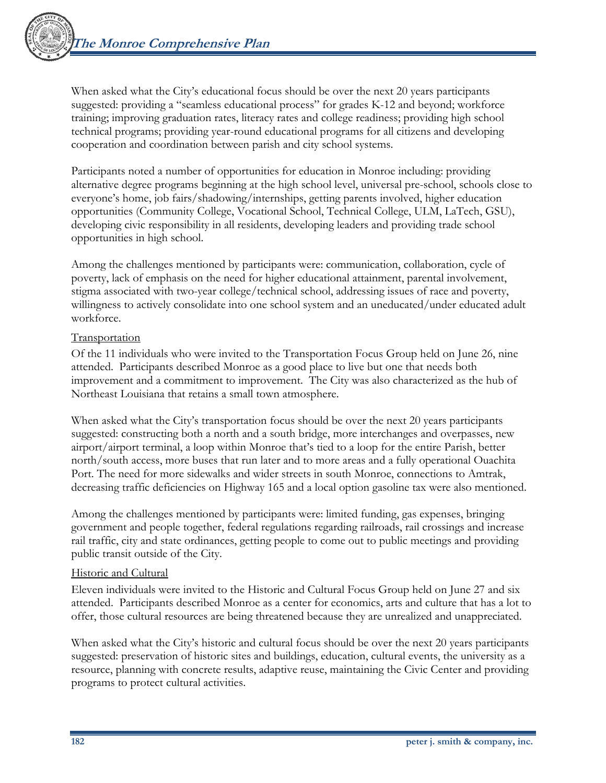When asked what the City's educational focus should be over the next 20 years participants suggested: providing a "seamless educational process" for grades K-12 and beyond; workforce training; improving graduation rates, literacy rates and college readiness; providing high school technical programs; providing year-round educational programs for all citizens and developing cooperation and coordination between parish and city school systems.

Participants noted a number of opportunities for education in Monroe including: providing alternative degree programs beginning at the high school level, universal pre-school, schools close to everyone's home, job fairs/shadowing/internships, getting parents involved, higher education opportunities (Community College, Vocational School, Technical College, ULM, LaTech, GSU), developing civic responsibility in all residents, developing leaders and providing trade school opportunities in high school.

Among the challenges mentioned by participants were: communication, collaboration, cycle of poverty, lack of emphasis on the need for higher educational attainment, parental involvement, stigma associated with two-year college/technical school, addressing issues of race and poverty, willingness to actively consolidate into one school system and an uneducated/under educated adult workforce.

## **Transportation**

Of the 11 individuals who were invited to the Transportation Focus Group held on June 26, nine attended. Participants described Monroe as a good place to live but one that needs both improvement and a commitment to improvement. The City was also characterized as the hub of Northeast Louisiana that retains a small town atmosphere.

When asked what the City's transportation focus should be over the next 20 years participants suggested: constructing both a north and a south bridge, more interchanges and overpasses, new airport/airport terminal, a loop within Monroe that's tied to a loop for the entire Parish, better north/south access, more buses that run later and to more areas and a fully operational Ouachita Port. The need for more sidewalks and wider streets in south Monroe, connections to Amtrak, decreasing traffic deficiencies on Highway 165 and a local option gasoline tax were also mentioned.

Among the challenges mentioned by participants were: limited funding, gas expenses, bringing government and people together, federal regulations regarding railroads, rail crossings and increase rail traffic, city and state ordinances, getting people to come out to public meetings and providing public transit outside of the City.

### Historic and Cultural

Eleven individuals were invited to the Historic and Cultural Focus Group held on June 27 and six attended. Participants described Monroe as a center for economics, arts and culture that has a lot to offer, those cultural resources are being threatened because they are unrealized and unappreciated.

When asked what the City's historic and cultural focus should be over the next 20 years participants suggested: preservation of historic sites and buildings, education, cultural events, the university as a resource, planning with concrete results, adaptive reuse, maintaining the Civic Center and providing programs to protect cultural activities.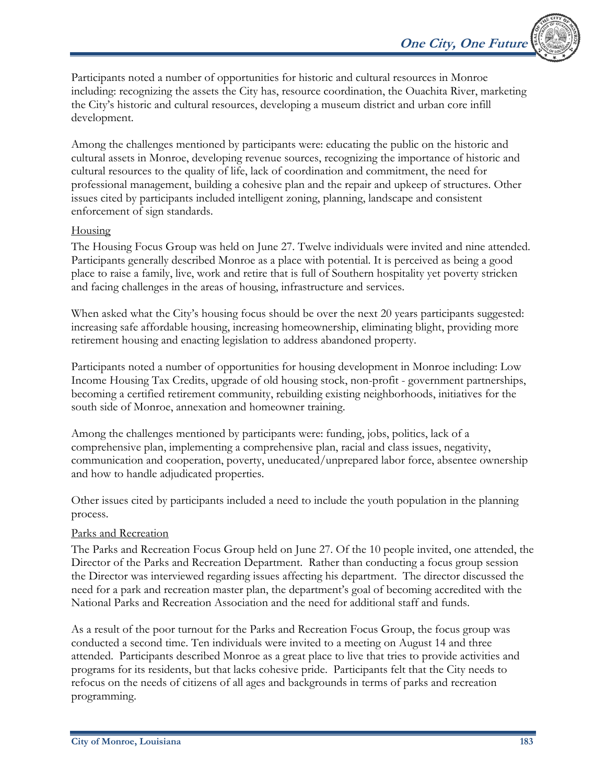Participants noted a number of opportunities for historic and cultural resources in Monroe including: recognizing the assets the City has, resource coordination, the Ouachita River, marketing the City's historic and cultural resources, developing a museum district and urban core infill development.

Among the challenges mentioned by participants were: educating the public on the historic and cultural assets in Monroe, developing revenue sources, recognizing the importance of historic and cultural resources to the quality of life, lack of coordination and commitment, the need for professional management, building a cohesive plan and the repair and upkeep of structures. Other issues cited by participants included intelligent zoning, planning, landscape and consistent enforcement of sign standards.

## Housing

The Housing Focus Group was held on June 27. Twelve individuals were invited and nine attended. Participants generally described Monroe as a place with potential. It is perceived as being a good place to raise a family, live, work and retire that is full of Southern hospitality yet poverty stricken and facing challenges in the areas of housing, infrastructure and services.

When asked what the City's housing focus should be over the next 20 years participants suggested: increasing safe affordable housing, increasing homeownership, eliminating blight, providing more retirement housing and enacting legislation to address abandoned property.

Participants noted a number of opportunities for housing development in Monroe including: Low Income Housing Tax Credits, upgrade of old housing stock, non-profit - government partnerships, becoming a certified retirement community, rebuilding existing neighborhoods, initiatives for the south side of Monroe, annexation and homeowner training.

Among the challenges mentioned by participants were: funding, jobs, politics, lack of a comprehensive plan, implementing a comprehensive plan, racial and class issues, negativity, communication and cooperation, poverty, uneducated/unprepared labor force, absentee ownership and how to handle adjudicated properties.

Other issues cited by participants included a need to include the youth population in the planning process.

## Parks and Recreation

The Parks and Recreation Focus Group held on June 27. Of the 10 people invited, one attended, the Director of the Parks and Recreation Department. Rather than conducting a focus group session the Director was interviewed regarding issues affecting his department. The director discussed the need for a park and recreation master plan, the department's goal of becoming accredited with the National Parks and Recreation Association and the need for additional staff and funds.

As a result of the poor turnout for the Parks and Recreation Focus Group, the focus group was conducted a second time. Ten individuals were invited to a meeting on August 14 and three attended. Participants described Monroe as a great place to live that tries to provide activities and programs for its residents, but that lacks cohesive pride. Participants felt that the City needs to refocus on the needs of citizens of all ages and backgrounds in terms of parks and recreation programming.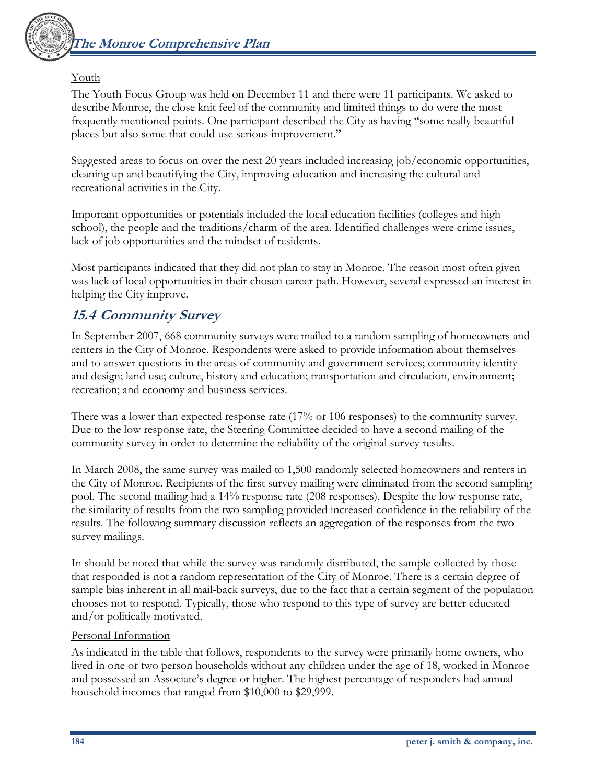

### Youth

The Youth Focus Group was held on December 11 and there were 11 participants. We asked to describe Monroe, the close knit feel of the community and limited things to do were the most frequently mentioned points. One participant described the City as having "some really beautiful places but also some that could use serious improvement."

Suggested areas to focus on over the next 20 years included increasing job/economic opportunities, cleaning up and beautifying the City, improving education and increasing the cultural and recreational activities in the City.

Important opportunities or potentials included the local education facilities (colleges and high school), the people and the traditions/charm of the area. Identified challenges were crime issues, lack of job opportunities and the mindset of residents.

Most participants indicated that they did not plan to stay in Monroe. The reason most often given was lack of local opportunities in their chosen career path. However, several expressed an interest in helping the City improve.

## **15.4 Community Survey**

In September 2007, 668 community surveys were mailed to a random sampling of homeowners and renters in the City of Monroe. Respondents were asked to provide information about themselves and to answer questions in the areas of community and government services; community identity and design; land use; culture, history and education; transportation and circulation, environment; recreation; and economy and business services.

There was a lower than expected response rate (17% or 106 responses) to the community survey. Due to the low response rate, the Steering Committee decided to have a second mailing of the community survey in order to determine the reliability of the original survey results.

In March 2008, the same survey was mailed to 1,500 randomly selected homeowners and renters in the City of Monroe. Recipients of the first survey mailing were eliminated from the second sampling pool. The second mailing had a 14% response rate (208 responses). Despite the low response rate, the similarity of results from the two sampling provided increased confidence in the reliability of the results. The following summary discussion reflects an aggregation of the responses from the two survey mailings.

In should be noted that while the survey was randomly distributed, the sample collected by those that responded is not a random representation of the City of Monroe. There is a certain degree of sample bias inherent in all mail-back surveys, due to the fact that a certain segment of the population chooses not to respond. Typically, those who respond to this type of survey are better educated and/or politically motivated.

#### Personal Information

As indicated in the table that follows, respondents to the survey were primarily home owners, who lived in one or two person households without any children under the age of 18, worked in Monroe and possessed an Associate's degree or higher. The highest percentage of responders had annual household incomes that ranged from \$10,000 to \$29,999.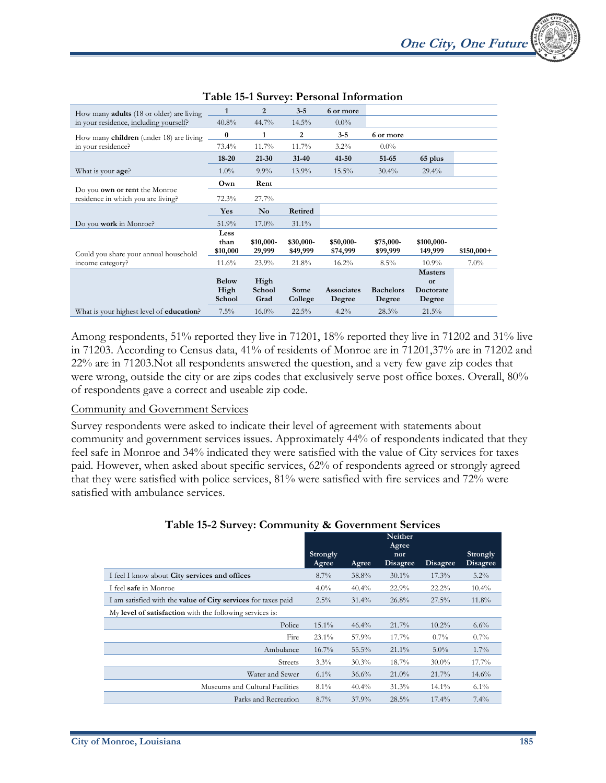| How many <b>adults</b> (18 or older) are living                            | 1                              | 2                      | $3 - 5$               | 6 or more                   |                            |                                                                |             |
|----------------------------------------------------------------------------|--------------------------------|------------------------|-----------------------|-----------------------------|----------------------------|----------------------------------------------------------------|-------------|
| in your residence, including yourself?                                     | 40.8%                          | 44.7%                  | $14.5\%$              | $0.0\%$                     |                            |                                                                |             |
| How many children (under 18) are living                                    | $\bf{0}$                       | 1                      | 2                     | $3 - 5$                     | 6 or more                  |                                                                |             |
| in your residence?                                                         | 73.4%                          | 11.7%                  | 11.7%                 | $3.2\%$                     | $0.0\%$                    |                                                                |             |
|                                                                            | $18 - 20$                      | $21 - 30$              | $31 - 40$             | $41 - 50$                   | 51-65                      | 65 plus                                                        |             |
| What is your <b>age</b> ?                                                  | $1.0\%$                        | $9.9\%$                | 13.9%                 | 15.5%                       | $30.4\%$                   | $29.4\%$                                                       |             |
|                                                                            | Own                            | Rent                   |                       |                             |                            |                                                                |             |
| Do you <b>own or rent</b> the Monroe<br>residence in which you are living? | 72.3%                          | 27.7%                  |                       |                             |                            |                                                                |             |
|                                                                            | Yes                            | N <sub>o</sub>         | Retired               |                             |                            |                                                                |             |
| Do you work in Monroe?                                                     | 51.9%                          | $17.0\%$               | $31.1\%$              |                             |                            |                                                                |             |
| Could you share your annual household                                      | Less<br>than<br>\$10,000       | \$10,000-<br>29,999    | \$30,000-<br>\$49,999 | \$50,000-<br>\$74,999       | \$75,000-<br>\$99,999      | \$100,000-<br>149,999                                          | $$150,000+$ |
| income category?                                                           | $11.6\%$                       | 23.9%                  | 21.8%                 | $16.2\%$                    | $8.5\%$                    | $10.9\%$                                                       | $7.0\%$     |
|                                                                            | <b>Below</b><br>High<br>School | High<br>School<br>Grad | Some<br>College       | <b>Associates</b><br>Degree | <b>Bachelors</b><br>Degree | <b>Masters</b><br>$\Omega$ <sup>r</sup><br>Doctorate<br>Degree |             |
| What is your highest level of <b>education</b> ?                           | $7.5\%$                        | $16.0\%$               | 22.5%                 | $4.2\%$                     | 28.3%                      | 21.5%                                                          |             |

#### **Table 15-1 Survey: Personal Information**

Among respondents, 51% reported they live in 71201, 18% reported they live in 71202 and 31% live in 71203. According to Census data, 41% of residents of Monroe are in 71201,37% are in 71202 and 22% are in 71203.Not all respondents answered the question, and a very few gave zip codes that were wrong, outside the city or are zips codes that exclusively serve post office boxes. Overall,  $80\%$ of respondents gave a correct and useable zip code.

#### Community and Government Services

Survey respondents were asked to indicate their level of agreement with statements about community and government services issues. Approximately 44% of respondents indicated that they feel safe in Monroe and 34% indicated they were satisfied with the value of City services for taxes paid. However, when asked about specific services, 62% of respondents agreed or strongly agreed that they were satisfied with police services, 81% were satisfied with fire services and 72% were satisfied with ambulance services.

|                                                                      | Strongly |          | Agree<br>nor    |                 | Strongly |
|----------------------------------------------------------------------|----------|----------|-----------------|-----------------|----------|
|                                                                      | Agree    | Agree    | <b>Disagree</b> | <b>Disagree</b> | Disagree |
| I feel I know about City services and offices                        | $8.7\%$  | 38.8%    | $30.1\%$        | 17.3%           | $5.2\%$  |
| I feel safe in Monroe                                                | $4.0\%$  | 40.4%    | 22.9%           | $22.2\%$        | $10.4\%$ |
| I am satisfied with the <b>value of City services</b> for taxes paid | $2.5\%$  | $31.4\%$ | 26.8%           | 27.5%           | $11.8\%$ |
| My level of satisfaction with the following services is:             |          |          |                 |                 |          |
| Police                                                               | 15.1%    | 46.4%    | 21.7%           | $10.2\%$        | $6.6\%$  |
| Fire                                                                 | $23.1\%$ | 57.9%    | 17.7%           | $0.7\%$         | $0.7\%$  |
| Ambulance                                                            | $16.7\%$ | 55.5%    | $21.1\%$        | $5.0\%$         | $1.7\%$  |
| <b>Streets</b>                                                       | 3.3%     | 30.3%    | 18.7%           | $30.0\%$        | $17.7\%$ |
| Water and Sewer                                                      | $6.1\%$  | 36.6%    | 21.0%           | 21.7%           | $14.6\%$ |
| Museums and Cultural Facilities                                      | $8.1\%$  | 40.4%    | 31.3%           | $14.1\%$        | $6.1\%$  |
| Parks and Recreation                                                 | 8.7%     | $37.9\%$ | 28.5%           | $17.4\%$        | $7.4\%$  |

## **Table 15-2 Survey: Community & Government Services**

**Neither**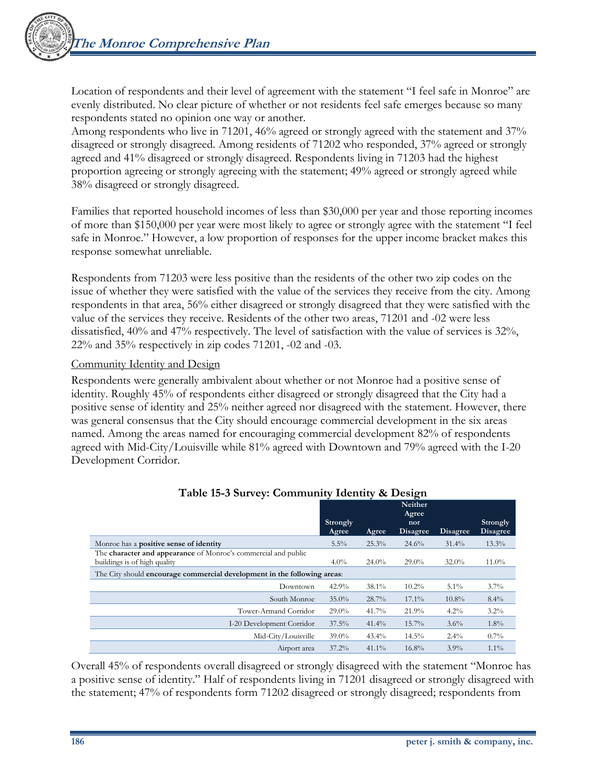Location of respondents and their level of agreement with the statement "I feel safe in Monroe" are evenly distributed. No clear picture of whether or not residents feel safe emerges because so many respondents stated no opinion one way or another.

Among respondents who live in 71201, 46% agreed or strongly agreed with the statement and 37% disagreed or strongly disagreed. Among residents of 71202 who responded, 37% agreed or strongly agreed and 41% disagreed or strongly disagreed. Respondents living in 71203 had the highest proportion agreeing or strongly agreeing with the statement; 49% agreed or strongly agreed while 38% disagreed or strongly disagreed.

Families that reported household incomes of less than \$30,000 per year and those reporting incomes of more than \$150,000 per year were most likely to agree or strongly agree with the statement "I feel safe in Monroe." However, a low proportion of responses for the upper income bracket makes this response somewhat unreliable.

Respondents from 71203 were less positive than the residents of the other two zip codes on the issue of whether they were satisfied with the value of the services they receive from the city. Among respondents in that area, 56% either disagreed or strongly disagreed that they were satisfied with the value of the services they receive. Residents of the other two areas, 71201 and -02 were less dissatisfied, 40% and 47% respectively. The level of satisfaction with the value of services is 32%, 22% and 35% respectively in zip codes 71201, -02 and -03.

#### Community Identity and Design

Respondents were generally ambivalent about whether or not Monroe had a positive sense of identity. Roughly 45% of respondents either disagreed or strongly disagreed that the City had a positive sense of identity and 25% neither agreed nor disagreed with the statement. However, there was general consensus that the City should encourage commercial development in the six areas named. Among the areas named for encouraging commercial development 82% of respondents agreed with Mid-City/Louisville while 81% agreed with Downtown and 79% agreed with the I-20 Development Corridor.

|                                                                                                |                   |          | Neither<br>Agree       |                 |                             |
|------------------------------------------------------------------------------------------------|-------------------|----------|------------------------|-----------------|-----------------------------|
|                                                                                                | Strongly<br>Agree | Agree    | nor<br><b>Disagree</b> | <b>Disagree</b> | Strongly<br><b>Disagree</b> |
| Monroe has a <b>positive sense of identity</b>                                                 | 5.5%              | 25.3%    | 24.6%                  | 31.4%           | $13.3\%$                    |
| The character and appearance of Monroe's commercial and public<br>buildings is of high quality | $4.0\%$           | 24.0%    | $29.0\%$               | $32.0\%$        | $11.0\%$                    |
| The City should encourage commercial development in the following areas:                       |                   |          |                        |                 |                             |
| Downtown                                                                                       | 42.9%             | $38.1\%$ | $10.2\%$               | $5.1\%$         | $3.7\%$                     |
| South Monroe                                                                                   | $35.0\%$          | 28.7%    | $17.1\%$               | $10.8\%$        | $8.4\%$                     |
| Tower-Armand Corridor                                                                          | $29.0\%$          | 41.7%    | 21.9%                  | $4.2\%$         | $3.2\%$                     |
| I-20 Development Corridor                                                                      | 37.5%             | 41.4%    | $15.7\%$               | 3.6%            | $1.8\%$                     |
| Mid-City/Louisville                                                                            | $39.0\%$          | $43.4\%$ | $14.5\%$               | $2.4\%$         | $0.7\%$                     |
| Airport area                                                                                   | $37.2\%$          | $41.1\%$ | 16.8%                  | $3.9\%$         | $1.1\%$                     |

#### **Table 15-3 Survey: Community Identity & Design**

Overall 45% of respondents overall disagreed or strongly disagreed with the statement "Monroe has a positive sense of identity." Half of respondents living in 71201 disagreed or strongly disagreed with the statement; 47% of respondents form 71202 disagreed or strongly disagreed; respondents from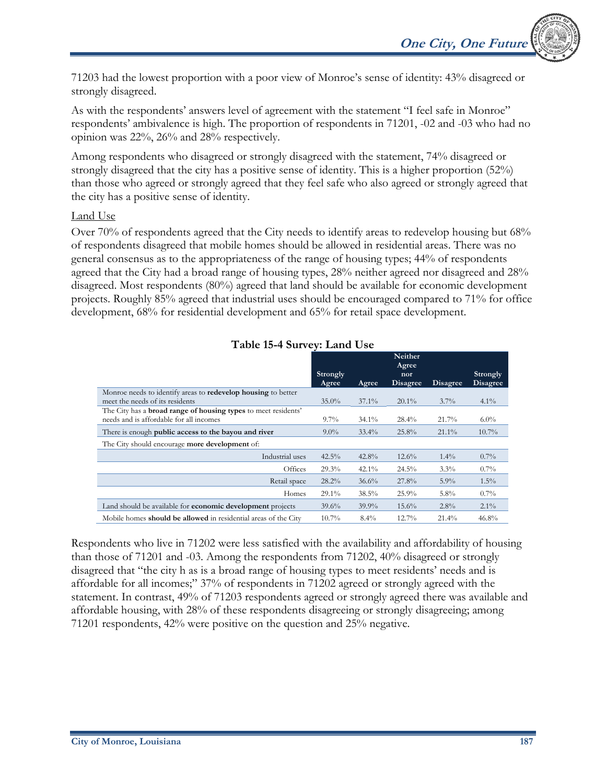71203 had the lowest proportion with a poor view of Monroe's sense of identity: 43% disagreed or strongly disagreed.

As with the respondents' answers level of agreement with the statement "I feel safe in Monroe" respondents' ambivalence is high. The proportion of respondents in 71201, -02 and -03 who had no opinion was 22%, 26% and 28% respectively.

Among respondents who disagreed or strongly disagreed with the statement, 74% disagreed or strongly disagreed that the city has a positive sense of identity. This is a higher proportion (52%) than those who agreed or strongly agreed that they feel safe who also agreed or strongly agreed that the city has a positive sense of identity.

## Land Use

Over 70% of respondents agreed that the City needs to identify areas to redevelop housing but 68% of respondents disagreed that mobile homes should be allowed in residential areas. There was no general consensus as to the appropriateness of the range of housing types; 44% of respondents agreed that the City had a broad range of housing types, 28% neither agreed nor disagreed and 28% disagreed. Most respondents (80%) agreed that land should be available for economic development projects. Roughly 85% agreed that industrial uses should be encouraged compared to 71% for office development, 68% for residential development and 65% for retail space development.

|                                                                        |          |              | Neither<br>Agree |                 |                 |
|------------------------------------------------------------------------|----------|--------------|------------------|-----------------|-----------------|
|                                                                        | Strongly |              | nor              |                 | Strongly        |
|                                                                        | Agree    | <b>Agree</b> | <b>Disagree</b>  | <b>Disagree</b> | <b>Disagree</b> |
| Monroe needs to identify areas to redevelop housing to better          |          |              |                  |                 |                 |
| meet the needs of its residents                                        | $35.0\%$ | $37.1\%$     | $20.1\%$         | $3.7\%$         | $4.1\%$         |
| The City has a <b>broad range of housing types</b> to meet residents'  |          |              |                  |                 |                 |
| needs and is affordable for all incomes                                | $9.7\%$  | $34.1\%$     | $28.4\%$         | 21.7%           | $6.0\%$         |
| There is enough <b>public access to the bayou and river</b>            | $9.0\%$  | $33.4\%$     | 25.8%            | $21.1\%$        | $10.7\%$        |
| The City should encourage <b>more development</b> of:                  |          |              |                  |                 |                 |
| Industrial uses                                                        | 42.5%    | 42.8%        | 12.6%            | $1.4\%$         | $0.7\%$         |
| Offices                                                                | 29.3%    | $42.1\%$     | 24.5%            | $3.3\%$         | $0.7\%$         |
| Retail space                                                           | $28.2\%$ | 36.6%        | 27.8%            | $5.9\%$         | $1.5\%$         |
| Homes                                                                  | $29.1\%$ | 38.5%        | 25.9%            | $5.8\%$         | $0.7\%$         |
| Land should be available for <b>economic development</b> projects      | 39.6%    | $39.9\%$     | $15.6\%$         | 2.8%            | $2.1\%$         |
| Mobile homes <b>should be allowed</b> in residential areas of the City | 10.7%    | 8.4%         | 12.7%            | 21.4%           | 46.8%           |

## **Table 15-4 Survey: Land Use**

Respondents who live in 71202 were less satisfied with the availability and affordability of housing than those of 71201 and -03. Among the respondents from 71202, 40% disagreed or strongly disagreed that "the city h as is a broad range of housing types to meet residents' needs and is affordable for all incomes;" 37% of respondents in 71202 agreed or strongly agreed with the statement. In contrast, 49% of 71203 respondents agreed or strongly agreed there was available and affordable housing, with 28% of these respondents disagreeing or strongly disagreeing; among 71201 respondents, 42% were positive on the question and 25% negative.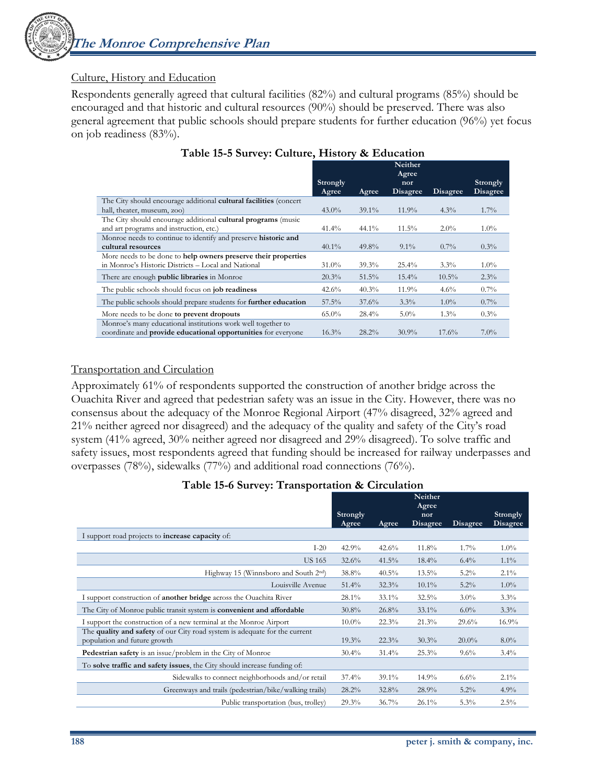

## Culture, History and Education

Respondents generally agreed that cultural facilities (82%) and cultural programs (85%) should be encouraged and that historic and cultural resources (90%) should be preserved. There was also general agreement that public schools should prepare students for further education (96%) yet focus on job readiness (83%).

|                                                                      |                   |          | Neither<br>Agree       |          |                             |
|----------------------------------------------------------------------|-------------------|----------|------------------------|----------|-----------------------------|
|                                                                      | Strongly<br>Agree | Agree    | nor<br><b>Disagree</b> | Disagree | <b>Strongly</b><br>Disagree |
| The City should encourage additional cultural facilities (concert    |                   |          |                        |          |                             |
| hall, theater, museum, zoo)                                          | $43.0\%$          | $39.1\%$ | $11.9\%$               | $4.3\%$  | $1.7\%$                     |
| The City should encourage additional cultural programs (music        |                   |          |                        |          |                             |
| and art programs and instruction, etc.)                              | 41.4%             | $44.1\%$ | $11.5\%$               | $2.0\%$  | $1.0\%$                     |
| Monroe needs to continue to identify and preserve historic and       |                   |          |                        |          |                             |
| cultural resources                                                   | $40.1\%$          | 49.8%    | $9.1\%$                | $0.7\%$  | $0.3\%$                     |
| More needs to be done to help owners preserve their properties       |                   |          |                        |          |                             |
| in Monroe's Historic Districts – Local and National                  | $31.0\%$          | 39.3%    | 25.4%                  | $3.3\%$  | $1.0\%$                     |
| There are enough <b>public libraries</b> in Monroe                   | 20.3%             | 51.5%    | $15.4\%$               | $10.5\%$ | 2.3%                        |
| The public schools should focus on job readiness                     | 42.6%             | 40.3%    | 11.9%                  | 4.6%     | $0.7\%$                     |
| The public schools should prepare students for further education     | 57.5%             | 37.6%    | 3.3%                   | $1.0\%$  | $0.7\%$                     |
| More needs to be done to prevent dropouts                            | $65.0\%$          | 28.4%    | $5.0\%$                | $1.3\%$  | $0.3\%$                     |
| Monroe's many educational institutions work well together to         |                   |          |                        |          |                             |
| coordinate and <b>provide educational opportunities</b> for everyone | 16.3%             | 28.2%    | $30.9\%$               | 17.6%    | $7.0\%$                     |

## **Table 15-5 Survey: Culture, History & Education**

## Transportation and Circulation

Approximately 61% of respondents supported the construction of another bridge across the Ouachita River and agreed that pedestrian safety was an issue in the City. However, there was no consensus about the adequacy of the Monroe Regional Airport (47% disagreed, 32% agreed and 21% neither agreed nor disagreed) and the adequacy of the quality and safety of the City's road system (41% agreed, 30% neither agreed nor disagreed and 29% disagreed). To solve traffic and safety issues, most respondents agreed that funding should be increased for railway underpasses and overpasses (78%), sidewalks (77%) and additional road connections (76%).

#### **Table 15-6 Survey: Transportation & Circulation**

|                                                                                                            | Strongly |          | Neither<br>Agree<br>nor |                 | Strongly        |
|------------------------------------------------------------------------------------------------------------|----------|----------|-------------------------|-----------------|-----------------|
|                                                                                                            | Agree    | Agree    | <b>Disagree</b>         | <b>Disagree</b> | <b>Disagree</b> |
| I support road projects to <b>increase capacity</b> of:                                                    |          |          |                         |                 |                 |
| $I-20$                                                                                                     | 42.9%    | 42.6%    | 11.8%                   | $1.7\%$         | $1.0\%$         |
| <b>US 165</b>                                                                                              | 32.6%    | 41.5%    | $18.4\%$                | $6.4\%$         | $1.1\%$         |
| Highway 15 (Winnsboro and South 2 <sup>nd</sup> )                                                          | 38.8%    | 40.5%    | $13.5\%$                | $5.2\%$         | $2.1\%$         |
| Louisville Avenue                                                                                          | 51.4%    | 32.3%    | $10.1\%$                | $5.2\%$         | $1.0\%$         |
| I support construction of <b>another bridge</b> across the Ouachita River                                  | 28.1%    | $33.1\%$ | 32.5%                   | $3.0\%$         | 3.3%            |
| The City of Monroe public transit system is <b>convenient and affordable</b>                               | 30.8%    | 26.8%    | $33.1\%$                | $6.0\%$         | 3.3%            |
| I support the construction of a new terminal at the Monroe Airport                                         | $10.0\%$ | 22.3%    | 21.3%                   | 29.6%           | 16.9%           |
| The quality and safety of our City road system is adequate for the current<br>population and future growth | 19.3%    | 22.3%    | 30.3%                   | $20.0\%$        | $8.0\%$         |
| Pedestrian safety is an issue/problem in the City of Monroe                                                | $30.4\%$ | $31.4\%$ | 25.3%                   | $9.6\%$         | $3.4\%$         |
| To solve traffic and safety issues, the City should increase funding of:                                   |          |          |                         |                 |                 |
| Sidewalks to connect neighborhoods and/or retail                                                           | $37.4\%$ | $39.1\%$ | 14.9%                   | $6.6\%$         | $2.1\%$         |
| Greenways and trails (pedestrian/bike/walking trails)                                                      | 28.2%    | 32.8%    | 28.9%                   | 5.2%            | 4.9%            |
| Public transportation (bus, trolley)                                                                       | 29.3%    | 36.7%    | $26.1\%$                | 5.3%            | $2.5\%$         |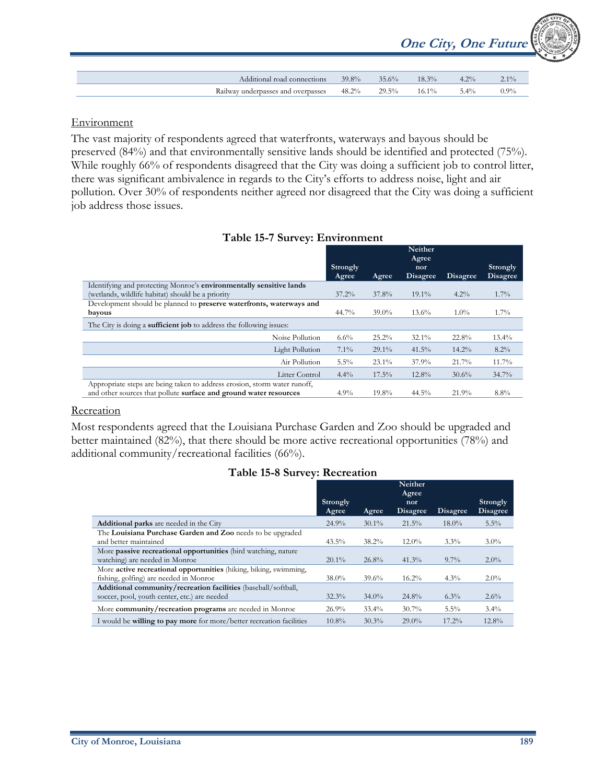|                                    |          |       |          |         | <b>One City, One Future</b> |
|------------------------------------|----------|-------|----------|---------|-----------------------------|
| Additional road connections        | 39.8%    | 35.6% | $18.3\%$ | $4.2\%$ | $2.1\%$                     |
| Railway underpasses and overpasses | $48.2\%$ | 29.5% | $16.1\%$ | $5.4\%$ | $0.9\%$                     |

## **Environment**

The vast majority of respondents agreed that waterfronts, waterways and bayous should be preserved (84%) and that environmentally sensitive lands should be identified and protected (75%). While roughly 66% of respondents disagreed that the City was doing a sufficient job to control litter, there was significant ambivalence in regards to the City's efforts to address noise, light and air pollution. Over 30% of respondents neither agreed nor disagreed that the City was doing a sufficient job address those issues.

|                                                                            | Strongly |          | Neither<br>Agree<br>nor |          | Strongly        |
|----------------------------------------------------------------------------|----------|----------|-------------------------|----------|-----------------|
|                                                                            | Agree    | Agree    | Disagree                | Disagree | <b>Disagree</b> |
| Identifying and protecting Monroe's environmentally sensitive lands        |          |          |                         |          |                 |
| (wetlands, wildlife habitat) should be a priority                          | $37.2\%$ | 37.8%    | $19.1\%$                | $4.2\%$  | $1.7\%$         |
| Development should be planned to preserve waterfronts, waterways and       |          |          |                         |          |                 |
| bayous                                                                     | 44.7%    | $39.0\%$ | 13.6%                   | $1.0\%$  | $1.7\%$         |
| The City is doing a <b>sufficient job</b> to address the following issues: |          |          |                         |          |                 |
| Noise Pollution                                                            | 6.6%     | $25.2\%$ | $32.1\%$                | 22.8%    | $13.4\%$        |
| <b>Light Pollution</b>                                                     | 7.1%     | $29.1\%$ | 41.5%                   | 14.2%    | 8.2%            |
| Air Pollution                                                              | $5.5\%$  | $23.1\%$ | 37.9%                   | 21.7%    | 11.7%           |
| Litter Control                                                             | $4.4\%$  | $17.5\%$ | 12.8%                   | 30.6%    | 34.7%           |
| Appropriate steps are being taken to address erosion, storm water runoff,  |          |          |                         |          |                 |
| and other sources that pollute surface and ground water resources          | 4.9%     | 19.8%    | 44.5%                   | 21.9%    | 8.8%            |

## **Table 15-7 Survey: Environment**

#### Recreation

Most respondents agreed that the Louisiana Purchase Garden and Zoo should be upgraded and better maintained (82%), that there should be more active recreational opportunities (78%) and additional community/recreational facilities (66%).

### **Table 15-8 Survey: Recreation**

|                                                                             |                   |          | Neither<br>Agree |          |                      |
|-----------------------------------------------------------------------------|-------------------|----------|------------------|----------|----------------------|
|                                                                             | Strongly<br>Agree | Agree    | nor<br>Disagree  | Disagree | Strongly<br>Disagree |
| <b>Additional parks</b> are needed in the City                              | 24.9%             | $30.1\%$ | 21.5%            | $18.0\%$ | 5.5%                 |
| The Louisiana Purchase Garden and Zoo needs to be upgraded                  |                   |          |                  |          |                      |
| and better maintained                                                       | $43.5\%$          | $38.2\%$ | $12.0\%$         | $3.3\%$  | $3.0\%$              |
| More passive recreational opportunities (bird watching, nature              |                   |          |                  |          |                      |
| watching) are needed in Monroe                                              | $20.1\%$          | 26.8%    | 41.3%            | $9.7\%$  | $2.0\%$              |
| More active recreational opportunities (hiking, biking, swimming,           |                   |          |                  |          |                      |
| fishing, golfing) are needed in Monroe                                      | $38.0\%$          | 39.6%    | $16.2\%$         | $4.3\%$  | $2.0\%$              |
| Additional community/recreation facilities (baseball/softball,              |                   |          |                  |          |                      |
| soccer, pool, youth center, etc.) are needed                                | 32.3%             | $34.0\%$ | 24.8%            | $6.3\%$  | 2.6%                 |
| More community/recreation programs are needed in Monroe                     | 26.9%             | $33.4\%$ | $30.7\%$         | $5.5\%$  | $3.4\%$              |
| I would be <b>willing to pay more</b> for more/better recreation facilities | 10.8%             | 30.3%    | $29.0\%$         | $17.2\%$ | 12.8%                |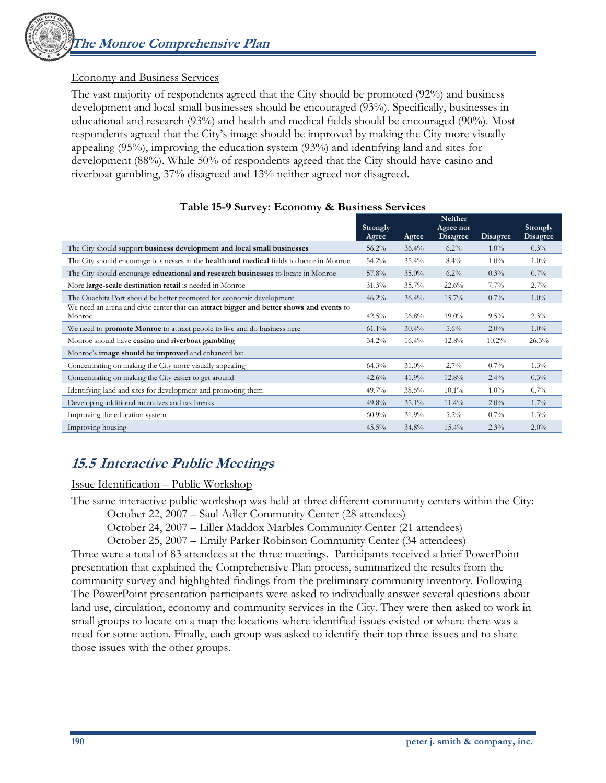## Economy and Business Services

The vast majority of respondents agreed that the City should be promoted (92%) and business development and local small businesses should be encouraged (93%). Specifically, businesses in educational and research (93%) and health and medical fields should be encouraged (90%). Most respondents agreed that the City's image should be improved by making the City more visually appealing (95%), improving the education system (93%) and identifying land and sites for development (88%). While 50% of respondents agreed that the City should have casino and riverboat gambling, 37% disagreed and 13% neither agreed nor disagreed.

|                                                                                                    | Strongly<br>Agree | Agree    | Neither<br>Agree nor<br><b>Disagree</b> | <b>Disagree</b> | Strongly<br>Disagree |
|----------------------------------------------------------------------------------------------------|-------------------|----------|-----------------------------------------|-----------------|----------------------|
| The City should support business development and local small businesses                            | $56.2\%$          | 36.4%    | $6.2\%$                                 | $1.0\%$         | 0.3%                 |
| The City should encourage businesses in the <b>health and medical</b> fields to locate in Monroe   | 54.2%             | 35.4%    | 8.4%                                    | $1.0\%$         | $1.0\%$              |
| The City should encourage educational and research businesses to locate in Monroe                  | 57.8%             | $35.0\%$ | $6.2\%$                                 | $0.3\%$         | $0.7\%$              |
| More large-scale destination retail is needed in Monroe                                            | $31.3\%$          | 35.7%    | 22.6%                                   | $7.7\%$         | $2.7\%$              |
| The Ouachita Port should be better promoted for economic development                               | $46.2\%$          | 36.4%    | 15.7%                                   | $0.7\%$         | $1.0\%$              |
| We need an arena and civic center that can attract bigger and better shows and events to<br>Monroe | 42.5%             | 26.8%    | $19.0\%$                                | $9.5\%$         | 2.3%                 |
| We need to <b>promote Monroe</b> to attract people to live and do business here                    | $61.1\%$          | 30.4%    | $5.6\%$                                 | $2.0\%$         | $1.0\%$              |
| Monroe should have casino and riverboat gambling                                                   | $34.2\%$          | $16.4\%$ | 12.8%                                   | $10.2\%$        | 26.3%                |
| Monroe's image should be improved and enhanced by:                                                 |                   |          |                                         |                 |                      |
| Concentrating on making the City more visually appealing                                           | 64.3%             | $31.0\%$ | $2.7\%$                                 | $0.7\%$         | $1.3\%$              |
| Concentrating on making the City easier to get around                                              | 42.6%             | 41.9%    | 12.8%                                   | $2.4\%$         | 0.3%                 |
| Identifying land and sites for development and promoting them                                      | 49.7%             | 38.6%    | $10.1\%$                                | $1.0\%$         | $0.7\%$              |
| Developing additional incentives and tax breaks                                                    | 49.8%             | 35.1%    | $11.4\%$                                | $2.0\%$         | $1.7\%$              |
| Improving the education system                                                                     | $60.9\%$          | 31.9%    | $5.2\%$                                 | $0.7\%$         | $1.3\%$              |
| Improving housing                                                                                  | $45.5\%$          | $34.8\%$ | $15.4\%$                                | 2.3%            | $2.0\%$              |

## **Table 15-9 Survey: Economy & Business Services**

## **15.5 Interactive Public Meetings**

Issue Identification – Public Workshop

The same interactive public workshop was held at three different community centers within the City:

October 22, 2007 – Saul Adler Community Center (28 attendees)

October 24, 2007 – Liller Maddox Marbles Community Center (21 attendees)

October 25, 2007 – Emily Parker Robinson Community Center (34 attendees)

Three were a total of 83 attendees at the three meetings. Participants received a brief PowerPoint presentation that explained the Comprehensive Plan process, summarized the results from the community survey and highlighted findings from the preliminary community inventory. Following The PowerPoint presentation participants were asked to individually answer several questions about land use, circulation, economy and community services in the City. They were then asked to work in small groups to locate on a map the locations where identified issues existed or where there was a need for some action. Finally, each group was asked to identify their top three issues and to share those issues with the other groups.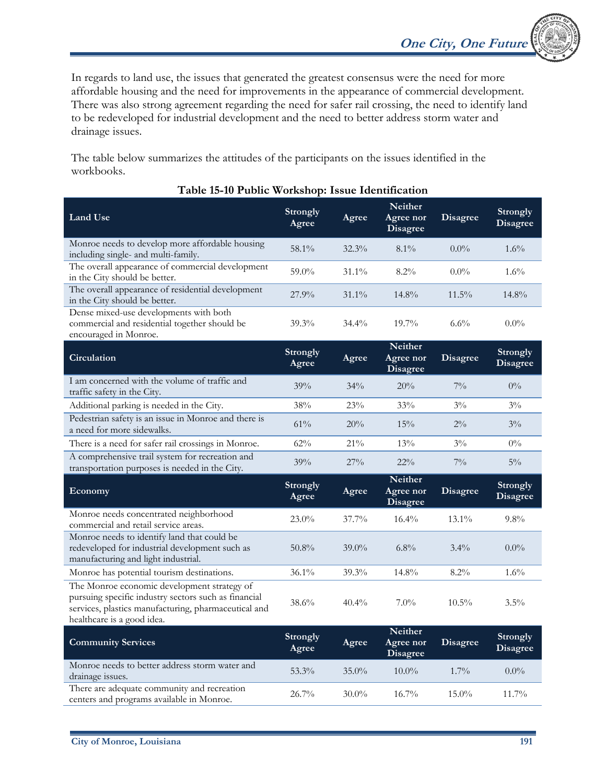In regards to land use, the issues that generated the greatest consensus were the need for more affordable housing and the need for improvements in the appearance of commercial development. There was also strong agreement regarding the need for safer rail crossing, the need to identify land to be redeveloped for industrial development and the need to better address storm water and drainage issues.

The table below summarizes the attitudes of the participants on the issues identified in the workbooks.

| <b>Land Use</b>                                                                                                                            | <b>Strongly</b><br>Agree | Agree  | <b>Neither</b><br>Agree nor<br><b>Disagree</b> | <b>Disagree</b> | <b>Strongly</b><br>Disagree |
|--------------------------------------------------------------------------------------------------------------------------------------------|--------------------------|--------|------------------------------------------------|-----------------|-----------------------------|
| Monroe needs to develop more affordable housing<br>including single- and multi-family.                                                     | 58.1%                    | 32.3%  | $8.1\%$                                        | $0.0\%$         | $1.6\%$                     |
| The overall appearance of commercial development<br>in the City should be better.                                                          | 59.0%                    | 31.1%  | 8.2%                                           | $0.0\%$         | $1.6\%$                     |
| The overall appearance of residential development<br>in the City should be better.                                                         | $27.9\%$                 | 31.1%  | 14.8%                                          | $11.5\%$        | 14.8%                       |
| Dense mixed-use developments with both<br>commercial and residential together should be<br>encouraged in Monroe.                           | 39.3%                    | 34.4%  | 19.7%                                          | 6.6%            | $0.0\%$                     |
| Circulation                                                                                                                                | <b>Strongly</b><br>Agree | Agree  | <b>Neither</b><br>Agree nor<br><b>Disagree</b> | <b>Disagree</b> | Strongly<br><b>Disagree</b> |
| I am concerned with the volume of traffic and<br>traffic safety in the City.                                                               | 39%                      | 34%    | 20%                                            | $7\%$           | $0\%$                       |
| Additional parking is needed in the City.                                                                                                  | 38%                      | 23%    | 33%                                            | $3\%$           | $3\%$                       |
| Pedestrian safety is an issue in Monroe and there is<br>a need for more sidewalks.                                                         | 61%                      | 20%    | 15%                                            | $2\%$           | $3\%$                       |
| There is a need for safer rail crossings in Monroe.                                                                                        | 62%                      | $21\%$ | 13%                                            | $3\%$           | $0\%$                       |
| A comprehensive trail system for recreation and<br>transportation purposes is needed in the City.                                          | 39%                      | 27%    | $22\%$                                         | $7\%$           | $5\%$                       |
| Economy                                                                                                                                    | <b>Strongly</b><br>Agree | Agree  | Neither<br>Agree nor<br><b>Disagree</b>        | <b>Disagree</b> | Strongly<br><b>Disagree</b> |
| Monroe needs concentrated neighborhood<br>commercial and retail service areas.                                                             | $23.0\%$                 | 37.7%  | 16.4%                                          | $13.1\%$        | $9.8\%$                     |
| Monroe needs to identify land that could be<br>redeveloped for industrial development such as<br>manufacturing and light industrial.       | $50.8\%$                 | 39.0%  | $6.8\%$                                        | $3.4\%$         | $0.0\%$                     |
| Monroe has potential tourism destinations.                                                                                                 | $36.1\%$                 | 39.3%  | 14.8%                                          | $8.2\%$         | $1.6\%$                     |
| The Monroe economic development strategy of                                                                                                |                          |        |                                                |                 |                             |
| pursuing specific industry sectors such as financial<br>services, plastics manufacturing, pharmaceutical and<br>healthcare is a good idea. | 38.6%                    | 40.4%  | $7.0\%$                                        | $10.5\%$        | $3.5\%$                     |
| <b>Community Services</b>                                                                                                                  | Strongly<br>Agree        | Agree  | <b>Neither</b><br>Agree nor<br><b>Disagree</b> | <b>Disagree</b> | Strongly<br><b>Disagree</b> |
| Monroe needs to better address storm water and<br>drainage issues.<br>There are adequate community and recreation                          | 53.3%                    | 35.0%  | $10.0\%$                                       | 1.7%            | $0.0\%$                     |

## **Table 15-10 Public Workshop: Issue Identification**